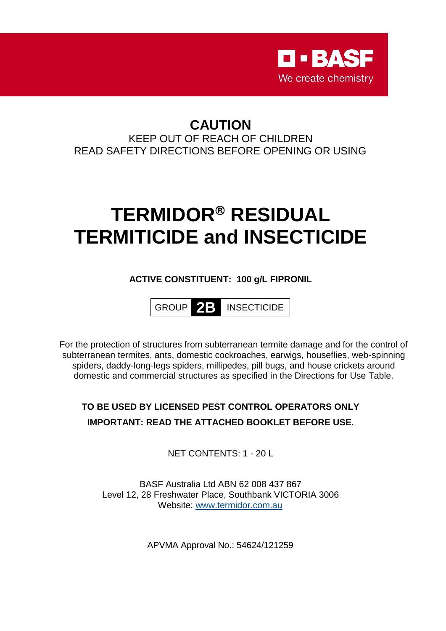

# **CAUTION**

### KEEP OUT OF REACH OF CHILDREN READ SAFETY DIRECTIONS BEFORE OPENING OR USING

# **TERMIDOR RESIDUAL TERMITICIDE and INSECTICIDE**

**ACTIVE CONSTITUENT: 100 g/L FIPRONIL**



For the protection of structures from subterranean termite damage and for the control of subterranean termites, ants, domestic cockroaches, earwigs, houseflies, web-spinning spiders, daddy-long-legs spiders, millipedes, pill bugs, and house crickets around domestic and commercial structures as specified in the Directions for Use Table.

## **TO BE USED BY LICENSED PEST CONTROL OPERATORS ONLY IMPORTANT: READ THE ATTACHED BOOKLET BEFORE USE.**

NET CONTENTS: 1 - 20 L

BASF Australia Ltd ABN 62 008 437 867 Level 12, 28 Freshwater Place, Southbank VICTORIA 3006 Website: [www.termidor.com.au](http://www.termidor.com.au/)

APVMA Approval No.: 54624/121259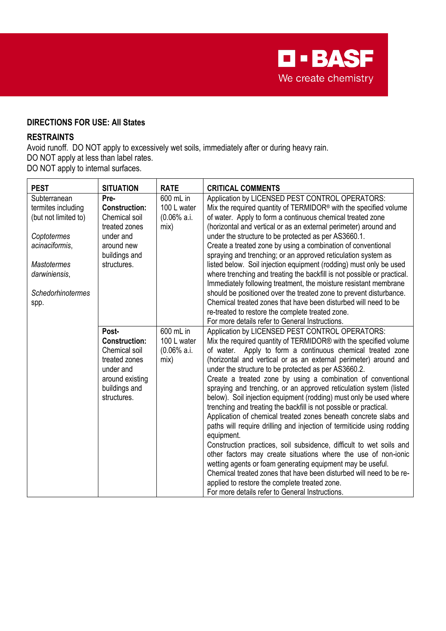

#### **DIRECTIONS FOR USE: All States**

#### **RESTRAINTS**

Avoid runoff. DO NOT apply to excessively wet soils, immediately after or during heavy rain.

DO NOT apply at less than label rates.

DO NOT apply to internal surfaces.

| <b>PEST</b>              | <b>SITUATION</b>     | <b>RATE</b>              | <b>CRITICAL COMMENTS</b>                                                     |
|--------------------------|----------------------|--------------------------|------------------------------------------------------------------------------|
| Subterranean             | Pre-                 | 600 mL in                | Application by LICENSED PEST CONTROL OPERATORS:                              |
| termites including       | <b>Construction:</b> | 100 L water              | Mix the required quantity of TERMIDOR <sup>®</sup> with the specified volume |
| (but not limited to)     | Chemical soil        | $(0.06\% \text{ a.}i)$ . | of water. Apply to form a continuous chemical treated zone                   |
|                          | treated zones        | mix)                     | (horizontal and vertical or as an external perimeter) around and             |
| Coptotermes              | under and            |                          | under the structure to be protected as per AS3660.1.                         |
| acinaciformis,           | around new           |                          | Create a treated zone by using a combination of conventional                 |
|                          | buildings and        |                          | spraying and trenching; or an approved reticulation system as                |
| <b>Mastotermes</b>       | structures.          |                          | listed below. Soil injection equipment (rodding) must only be used           |
| darwiniensis,            |                      |                          | where trenching and treating the backfill is not possible or practical.      |
|                          |                      |                          | Immediately following treatment, the moisture resistant membrane             |
| <b>Schedorhinotermes</b> |                      |                          | should be positioned over the treated zone to prevent disturbance.           |
| spp.                     |                      |                          | Chemical treated zones that have been disturbed will need to be              |
|                          |                      |                          | re-treated to restore the complete treated zone.                             |
|                          |                      |                          | For more details refer to General Instructions.                              |
|                          | Post-                | 600 mL in                | Application by LICENSED PEST CONTROL OPERATORS:                              |
|                          | <b>Construction:</b> | 100 L water              | Mix the required quantity of TERMIDOR® with the specified volume             |
|                          | Chemical soil        | (0.06% a.i.              | Apply to form a continuous chemical treated zone<br>of water.                |
|                          | treated zones        | mix)                     | (horizontal and vertical or as an external perimeter) around and             |
|                          | under and            |                          | under the structure to be protected as per AS3660.2.                         |
|                          | around existing      |                          | Create a treated zone by using a combination of conventional                 |
|                          | buildings and        |                          | spraying and trenching, or an approved reticulation system (listed           |
|                          | structures.          |                          | below). Soil injection equipment (rodding) must only be used where           |
|                          |                      |                          | trenching and treating the backfill is not possible or practical.            |
|                          |                      |                          | Application of chemical treated zones beneath concrete slabs and             |
|                          |                      |                          | paths will require drilling and injection of termiticide using rodding       |
|                          |                      |                          | equipment.                                                                   |
|                          |                      |                          | Construction practices, soil subsidence, difficult to wet soils and          |
|                          |                      |                          | other factors may create situations where the use of non-ionic               |
|                          |                      |                          | wetting agents or foam generating equipment may be useful.                   |
|                          |                      |                          | Chemical treated zones that have been disturbed will need to be re-          |
|                          |                      |                          | applied to restore the complete treated zone.                                |
|                          |                      |                          | For more details refer to General Instructions.                              |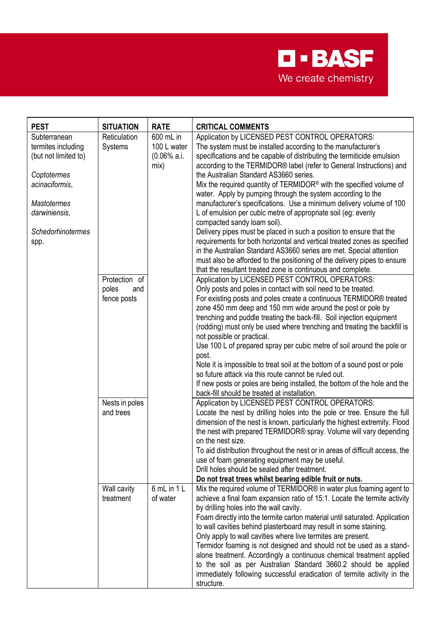

| <b>PEST</b>              | <b>SITUATION</b> | <b>RATE</b>              | <b>CRITICAL COMMENTS</b>                                                                                                  |
|--------------------------|------------------|--------------------------|---------------------------------------------------------------------------------------------------------------------------|
| Subterranean             | Reticulation     | 600 mL in                | Application by LICENSED PEST CONTROL OPERATORS:                                                                           |
| termites including       | Systems          | 100 L water              | The system must be installed according to the manufacturer's                                                              |
| (but not limited to)     |                  | $(0.06\% \text{ a.}i)$ . | specifications and be capable of distributing the termiticide emulsion                                                    |
|                          |                  |                          |                                                                                                                           |
|                          |                  | mix)                     | according to the TERMIDOR® label (refer to General Instructions) and                                                      |
| Coptotermes              |                  |                          | the Australian Standard AS3660 series.                                                                                    |
| acinaciformis,           |                  |                          | Mix the required quantity of TERMIDOR <sup>®</sup> with the specified volume of                                           |
|                          |                  |                          | water. Apply by pumping through the system according to the                                                               |
| <b>Mastotermes</b>       |                  |                          | manufacturer's specifications. Use a minimum delivery volume of 100                                                       |
| darwiniensis,            |                  |                          | L of emulsion per cubic metre of appropriate soil (eg: evenly                                                             |
|                          |                  |                          | compacted sandy loam soil).                                                                                               |
| <b>Schedorhinotermes</b> |                  |                          | Delivery pipes must be placed in such a position to ensure that the                                                       |
| spp.                     |                  |                          | requirements for both horizontal and vertical treated zones as specified                                                  |
|                          |                  |                          | in the Australian Standard AS3660 series are met. Special attention                                                       |
|                          |                  |                          |                                                                                                                           |
|                          |                  |                          | must also be afforded to the positioning of the delivery pipes to ensure                                                  |
|                          |                  |                          | that the resultant treated zone is continuous and complete.                                                               |
|                          | Protection of    |                          | Application by LICENSED PEST CONTROL OPERATORS:                                                                           |
|                          | poles<br>and     |                          | Only posts and poles in contact with soil need to be treated.                                                             |
|                          | fence posts      |                          | For existing posts and poles create a continuous TERMIDOR® treated                                                        |
|                          |                  |                          | zone 450 mm deep and 150 mm wide around the post or pole by                                                               |
|                          |                  |                          | trenching and puddle treating the back-fill. Soil injection equipment                                                     |
|                          |                  |                          | (rodding) must only be used where trenching and treating the backfill is                                                  |
|                          |                  |                          | not possible or practical.                                                                                                |
|                          |                  |                          | Use 100 L of prepared spray per cubic metre of soil around the pole or                                                    |
|                          |                  |                          | post.                                                                                                                     |
|                          |                  |                          | Note it is impossible to treat soil at the bottom of a sound post or pole                                                 |
|                          |                  |                          | so future attack via this route cannot be ruled out.                                                                      |
|                          |                  |                          |                                                                                                                           |
|                          |                  |                          | If new posts or poles are being installed, the bottom of the hole and the<br>back-fill should be treated at installation. |
|                          | Nests in poles   |                          | Application by LICENSED PEST CONTROL OPERATORS:                                                                           |
|                          | and trees        |                          | Locate the nest by drilling holes into the pole or tree. Ensure the full                                                  |
|                          |                  |                          | dimension of the nest is known, particularly the highest extremity. Flood                                                 |
|                          |                  |                          | the nest with prepared TERMIDOR® spray. Volume will vary depending                                                        |
|                          |                  |                          | on the nest size.                                                                                                         |
|                          |                  |                          |                                                                                                                           |
|                          |                  |                          | To aid distribution throughout the nest or in areas of difficult access, the                                              |
|                          |                  |                          | use of foam generating equipment may be useful.                                                                           |
|                          |                  |                          | Drill holes should be sealed after treatment.                                                                             |
|                          |                  |                          | Do not treat trees whilst bearing edible fruit or nuts.                                                                   |
|                          | Wall cavity      | 6 mL in 1 L              | Mix the required volume of TERMIDOR® in water plus foaming agent to                                                       |
|                          | treatment        | of water                 | achieve a final foam expansion ratio of 15:1. Locate the termite activity                                                 |
|                          |                  |                          | by drilling holes into the wall cavity.                                                                                   |
|                          |                  |                          | Foam directly into the termite carton material until saturated. Application                                               |
|                          |                  |                          | to wall cavities behind plasterboard may result in some staining.                                                         |
|                          |                  |                          | Only apply to wall cavities where live termites are present.                                                              |
|                          |                  |                          | Termidor foaming is not designed and should not be used as a stand-                                                       |
|                          |                  |                          |                                                                                                                           |
|                          |                  |                          | alone treatment. Accordingly a continuous chemical treatment applied                                                      |
|                          |                  |                          | to the soil as per Australian Standard 3660.2 should be applied                                                           |
|                          |                  |                          | immediately following successful eradication of termite activity in the                                                   |
|                          |                  |                          | structure.                                                                                                                |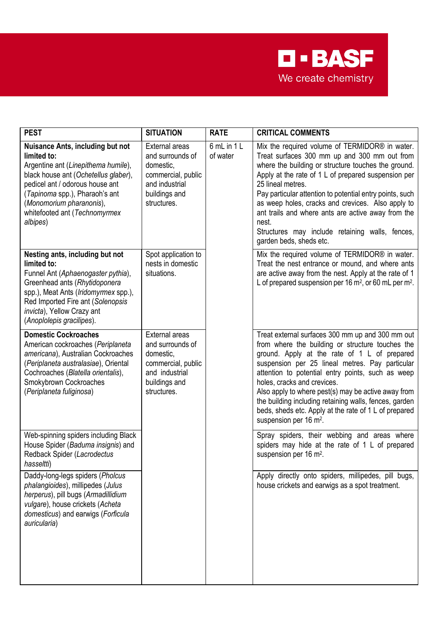

| <b>PEST</b>                                                                                                                                                                                                                                                                         | <b>SITUATION</b>                                                                                                        | <b>RATE</b>                 | <b>CRITICAL COMMENTS</b>                                                                                                                                                                                                                                                                                                                                                                                                                                                                                    |
|-------------------------------------------------------------------------------------------------------------------------------------------------------------------------------------------------------------------------------------------------------------------------------------|-------------------------------------------------------------------------------------------------------------------------|-----------------------------|-------------------------------------------------------------------------------------------------------------------------------------------------------------------------------------------------------------------------------------------------------------------------------------------------------------------------------------------------------------------------------------------------------------------------------------------------------------------------------------------------------------|
| <b>Nuisance Ants, including but not</b><br>limited to:<br>Argentine ant (Linepithema humile),<br>black house ant (Ochetellus glaber),<br>pedicel ant / odorous house ant<br>(Tapinoma spp.), Pharaoh's ant<br>(Monomorium pharanonis),<br>whitefooted ant (Technomyrmex<br>albipes) | External areas<br>and surrounds of<br>domestic,<br>commercial, public<br>and industrial<br>buildings and<br>structures. | $6$ mL in $1$ L<br>of water | Mix the required volume of TERMIDOR® in water.<br>Treat surfaces 300 mm up and 300 mm out from<br>where the building or structure touches the ground.<br>Apply at the rate of 1 L of prepared suspension per<br>25 lineal metres.<br>Pay particular attention to potential entry points, such<br>as weep holes, cracks and crevices. Also apply to<br>ant trails and where ants are active away from the<br>nest.<br>Structures may include retaining walls, fences,<br>garden beds, sheds etc.             |
| Nesting ants, including but not<br>limited to:<br>Funnel Ant (Aphaenogaster pythia),<br>Greenhead ants (Rhytidoponera<br>spp.), Meat Ants (Iridomyrmex spp.),<br>Red Imported Fire ant (Solenopsis<br>invicta), Yellow Crazy ant<br>(Anoplolepis gracilipes).                       | Spot application to<br>nests in domestic<br>situations.                                                                 |                             | Mix the required volume of TERMIDOR® in water.<br>Treat the nest entrance or mound, and where ants<br>are active away from the nest. Apply at the rate of 1<br>L of prepared suspension per 16 $m^2$ , or 60 mL per $m^2$ .                                                                                                                                                                                                                                                                                 |
| <b>Domestic Cockroaches</b><br>American cockroaches (Periplaneta<br>americana), Australian Cockroaches<br>(Periplaneta australasiae), Oriental<br>Cochroaches (Blatella orientalis),<br>Smokybrown Cockroaches<br>(Periplaneta fuliginosa)                                          | External areas<br>and surrounds of<br>domestic,<br>commercial, public<br>and industrial<br>buildings and<br>structures. |                             | Treat external surfaces 300 mm up and 300 mm out<br>from where the building or structure touches the<br>ground. Apply at the rate of 1 L of prepared<br>suspension per 25 lineal metres. Pay particular<br>attention to potential entry points, such as weep<br>holes, cracks and crevices.<br>Also apply to where pest(s) may be active away from<br>the building including retaining walls, fences, garden<br>beds, sheds etc. Apply at the rate of 1 L of prepared<br>suspension per 16 m <sup>2</sup> . |
| Web-spinning spiders including Black<br>House Spider (Baduma insignis) and<br>Redback Spider (Lacrodectus<br>hasseltti)                                                                                                                                                             |                                                                                                                         |                             | Spray spiders, their webbing and areas where<br>spiders may hide at the rate of 1 L of prepared<br>suspension per 16 m <sup>2</sup> .                                                                                                                                                                                                                                                                                                                                                                       |
| Daddy-long-legs spiders (Pholcus<br>phalangioides), millipedes (Julus<br>herperus), pill bugs (Armadillidium<br>vulgare), house crickets (Acheta<br>domesticus) and earwigs (Forficula<br>auricularia)                                                                              |                                                                                                                         |                             | Apply directly onto spiders, millipedes, pill bugs,<br>house crickets and earwigs as a spot treatment.                                                                                                                                                                                                                                                                                                                                                                                                      |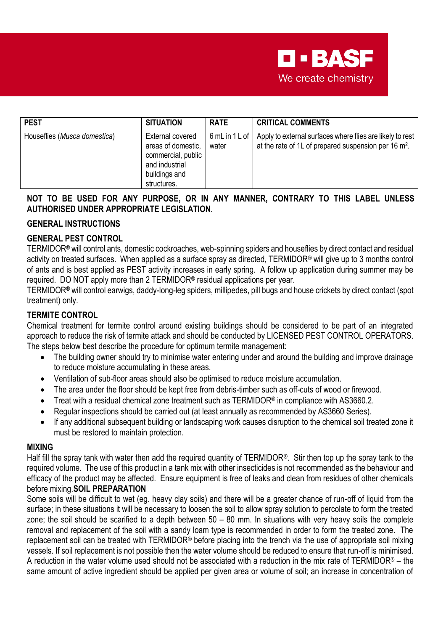

| <b>PEST</b>                  | <b>SITUATION</b>                                                                                               | <b>RATE</b>             | <b>CRITICAL COMMENTS</b>                                                                                                      |
|------------------------------|----------------------------------------------------------------------------------------------------------------|-------------------------|-------------------------------------------------------------------------------------------------------------------------------|
| Houseflies (Musca domestica) | External covered<br>areas of domestic,<br>commercial, public<br>and industrial<br>buildings and<br>structures. | 6 mL in 1 L of<br>water | Apply to external surfaces where flies are likely to rest<br>at the rate of 1L of prepared suspension per 16 m <sup>2</sup> . |

#### **NOT TO BE USED FOR ANY PURPOSE, OR IN ANY MANNER, CONTRARY TO THIS LABEL UNLESS AUTHORISED UNDER APPROPRIATE LEGISLATION.**

#### **GENERAL INSTRUCTIONS**

#### **GENERAL PEST CONTROL**

TERMIDOR® will control ants, domestic cockroaches, web-spinning spiders and houseflies by direct contact and residual activity on treated surfaces. When applied as a surface spray as directed, TERMIDOR® will give up to 3 months control of ants and is best applied as PEST activity increases in early spring. A follow up application during summer may be required. DO NOT apply more than 2 TERMIDOR® residual applications per year.

TERMIDOR® will control earwigs, daddy-long-leg spiders, millipedes, pill bugs and house crickets by direct contact (spot treatment) only.

#### **TERMITE CONTROL**

Chemical treatment for termite control around existing buildings should be considered to be part of an integrated approach to reduce the risk of termite attack and should be conducted by LICENSED PEST CONTROL OPERATORS. The steps below best describe the procedure for optimum termite management:

- The building owner should try to minimise water entering under and around the building and improve drainage to reduce moisture accumulating in these areas.
- Ventilation of sub-floor areas should also be optimised to reduce moisture accumulation.
- The area under the floor should be kept free from debris-timber such as off-cuts of wood or firewood.
- Treat with a residual chemical zone treatment such as TERMIDOR<sup>®</sup> in compliance with AS3660.2.
- Regular inspections should be carried out (at least annually as recommended by AS3660 Series).
- If any additional subsequent building or landscaping work causes disruption to the chemical soil treated zone it must be restored to maintain protection.

#### **MIXING**

Half fill the spray tank with water then add the required quantity of TERMIDOR®. Stir then top up the spray tank to the required volume. The use of this product in a tank mix with other insecticides is not recommended as the behaviour and efficacy of the product may be affected. Ensure equipment is free of leaks and clean from residues of other chemicals before mixing.**SOIL PREPARATION**

Some soils will be difficult to wet (eg. heavy clay soils) and there will be a greater chance of run-off of liquid from the surface; in these situations it will be necessary to loosen the soil to allow spray solution to percolate to form the treated zone; the soil should be scarified to a depth between 50 – 80 mm. In situations with very heavy soils the complete removal and replacement of the soil with a sandy loam type is recommended in order to form the treated zone. The replacement soil can be treated with TERMIDOR® before placing into the trench via the use of appropriate soil mixing vessels. If soil replacement is not possible then the water volume should be reduced to ensure that run-off is minimised. A reduction in the water volume used should not be associated with a reduction in the mix rate of TERMIDOR® – the same amount of active ingredient should be applied per given area or volume of soil; an increase in concentration of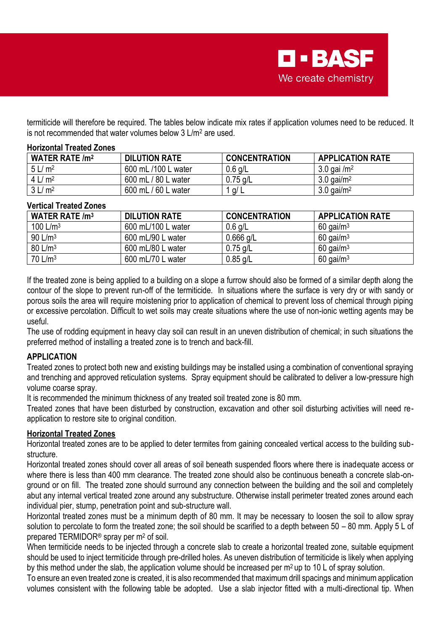

termiticide will therefore be required. The tables below indicate mix rates if application volumes need to be reduced. It is not recommended that water volumes below 3 L/m<sup>2</sup> are used.

| 1101120111a1116a16020163         |                      |                      |                           |
|----------------------------------|----------------------|----------------------|---------------------------|
| <b>WATER RATE /m<sup>2</sup></b> | <b>DILUTION RATE</b> | <b>CONCENTRATION</b> | <b>APPLICATION RATE</b>   |
| $\frac{1}{2}$ 5 L/m <sup>2</sup> | 600 mL /100 L water  | $0.6$ g/L            | $3.0$ gai /m <sup>2</sup> |
| 4 L/m <sup>2</sup>               | 600 mL / 80 L water  | $0.75$ g/L           | $3.0$ gai/m <sup>2</sup>  |
| 3 L/m <sup>2</sup>               | 600 mL / 60 L water  | $1$ g/ L             | $3.0$ gai/m <sup>2</sup>  |

#### **Horizontal Treated Zones**

#### **Vertical Treated Zones**

| <b>WATER RATE /m<sup>3</sup></b> | <b>DILUTION RATE</b> | <b>CONCENTRATION</b> | <b>APPLICATION RATE</b> |
|----------------------------------|----------------------|----------------------|-------------------------|
| 100 $L/m3$                       | 600 mL/100 L water   | $0.6$ g/L            | $60$ gai/m <sup>3</sup> |
| 90 L/m <sup>3</sup>              | 600 mL/90 L water    | $0.666$ g/L          | $60$ gai/m <sup>3</sup> |
| 80 L/m <sup>3</sup>              | 600 mL/80 L water    | $0.75$ g/L           | $60$ gai/m <sup>3</sup> |
| 70 L/m <sup>3</sup>              | 600 mL/70 L water    | $0.85$ g/L           | $60$ gai/m <sup>3</sup> |

If the treated zone is being applied to a building on a slope a furrow should also be formed of a similar depth along the contour of the slope to prevent run-off of the termiticide. In situations where the surface is very dry or with sandy or porous soils the area will require moistening prior to application of chemical to prevent loss of chemical through piping or excessive percolation. Difficult to wet soils may create situations where the use of non-ionic wetting agents may be useful.

The use of rodding equipment in heavy clay soil can result in an uneven distribution of chemical; in such situations the preferred method of installing a treated zone is to trench and back-fill.

#### **APPLICATION**

Treated zones to protect both new and existing buildings may be installed using a combination of conventional spraying and trenching and approved reticulation systems. Spray equipment should be calibrated to deliver a low-pressure high volume coarse spray.

It is recommended the minimum thickness of any treated soil treated zone is 80 mm.

Treated zones that have been disturbed by construction, excavation and other soil disturbing activities will need reapplication to restore site to original condition.

#### **Horizontal Treated Zones**

Horizontal treated zones are to be applied to deter termites from gaining concealed vertical access to the building substructure.

Horizontal treated zones should cover all areas of soil beneath suspended floors where there is inadequate access or where there is less than 400 mm clearance. The treated zone should also be continuous beneath a concrete slab-onground or on fill. The treated zone should surround any connection between the building and the soil and completely abut any internal vertical treated zone around any substructure. Otherwise install perimeter treated zones around each individual pier, stump, penetration point and sub-structure wall.

Horizontal treated zones must be a minimum depth of 80 mm. It may be necessary to loosen the soil to allow spray solution to percolate to form the treated zone; the soil should be scarified to a depth between 50 – 80 mm. Apply 5 L of prepared TERMIDOR® spray per m<sup>2</sup> of soil.

When termiticide needs to be injected through a concrete slab to create a horizontal treated zone, suitable equipment should be used to inject termiticide through pre-drilled holes. As uneven distribution of termiticide is likely when applying by this method under the slab, the application volume should be increased per  $m<sup>2</sup>$  up to 10 L of spray solution.

To ensure an even treated zone is created, it is also recommended that maximum drill spacings and minimum application volumes consistent with the following table be adopted. Use a slab injector fitted with a multi-directional tip. When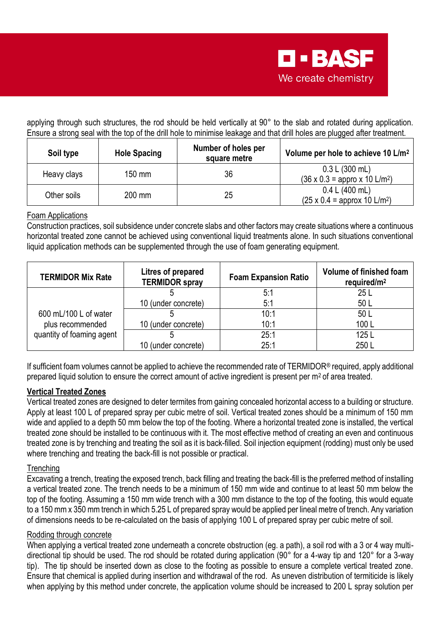

applying through such structures, the rod should be held vertically at 90° to the slab and rotated during application. Ensure a strong seal with the top of the drill hole to minimise leakage and that drill holes are plugged after treatment.

| Soil type   | <b>Hole Spacing</b> | Number of holes per<br>square metre | Volume per hole to achieve 10 L/m <sup>2</sup>                     |
|-------------|---------------------|-------------------------------------|--------------------------------------------------------------------|
| Heavy clays | 150 mm              | 36                                  | 0.3 L (300 mL)<br>$(36 \times 0.3 =$ appro x 10 L/m <sup>2</sup> ) |
| Other soils | 200 mm              | 25                                  | 0.4 L (400 mL)<br>$(25 \times 0.4 =$ approx 10 L/m <sup>2</sup> )  |

#### Foam Applications

Construction practices, soil subsidence under concrete slabs and other factors may create situations where a continuous horizontal treated zone cannot be achieved using conventional liquid treatments alone. In such situations conventional liquid application methods can be supplemented through the use of foam generating equipment.

| <b>TERMIDOR Mix Rate</b>                                               | Litres of prepared<br><b>TERMIDOR spray</b> | <b>Foam Expansion Ratio</b> | Volume of finished foam<br>required/m <sup>2</sup> |
|------------------------------------------------------------------------|---------------------------------------------|-----------------------------|----------------------------------------------------|
|                                                                        |                                             | 5:1                         | 25L                                                |
| 600 mL/100 L of water<br>plus recommended<br>quantity of foaming agent | 10 (under concrete)                         | 5:1                         | 50 L                                               |
|                                                                        |                                             | 10:1                        | 50 L                                               |
|                                                                        | 10 (under concrete)                         | 10:1                        | 100L                                               |
|                                                                        |                                             | 25:1                        | 125L                                               |
|                                                                        | 10 (under concrete)                         | 25:1                        | 250 L                                              |

If sufficient foam volumes cannot be applied to achieve the recommended rate of TERMIDOR® required, apply additional prepared liquid solution to ensure the correct amount of active ingredient is present per m2 of area treated.

#### **Vertical Treated Zones**

Vertical treated zones are designed to deter termites from gaining concealed horizontal access to a building or structure. Apply at least 100 L of prepared spray per cubic metre of soil. Vertical treated zones should be a minimum of 150 mm wide and applied to a depth 50 mm below the top of the footing. Where a horizontal treated zone is installed, the vertical treated zone should be installed to be continuous with it. The most effective method of creating an even and continuous treated zone is by trenching and treating the soil as it is back-filled. Soil injection equipment (rodding) must only be used where trenching and treating the back-fill is not possible or practical.

#### **Trenching**

Excavating a trench, treating the exposed trench, back filling and treating the back-fill is the preferred method of installing a vertical treated zone. The trench needs to be a minimum of 150 mm wide and continue to at least 50 mm below the top of the footing. Assuming a 150 mm wide trench with a 300 mm distance to the top of the footing, this would equate to a 150 mm x 350 mm trench in which 5.25 L of prepared spray would be applied per lineal metre of trench. Any variation of dimensions needs to be re-calculated on the basis of applying 100 L of prepared spray per cubic metre of soil.

#### Rodding through concrete

When applying a vertical treated zone underneath a concrete obstruction (eg. a path), a soil rod with a 3 or 4 way multidirectional tip should be used. The rod should be rotated during application (90° for a 4-way tip and 120° for a 3-way tip). The tip should be inserted down as close to the footing as possible to ensure a complete vertical treated zone. Ensure that chemical is applied during insertion and withdrawal of the rod. As uneven distribution of termiticide is likely when applying by this method under concrete, the application volume should be increased to 200 L spray solution per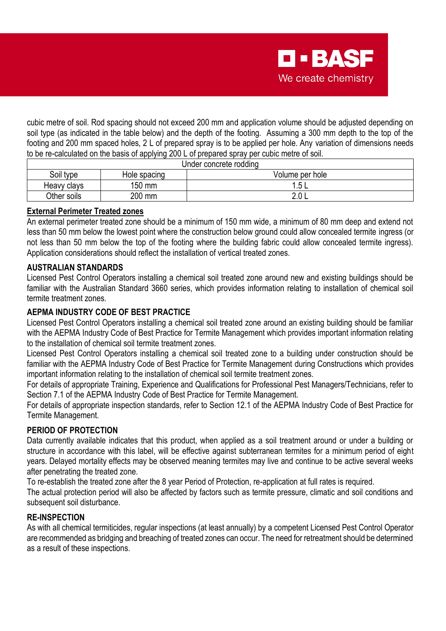

cubic metre of soil. Rod spacing should not exceed 200 mm and application volume should be adjusted depending on soil type (as indicated in the table below) and the depth of the footing. Assuming a 300 mm depth to the top of the footing and 200 mm spaced holes, 2 L of prepared spray is to be applied per hole. Any variation of dimensions needs to be re-calculated on the basis of applying 200 L of prepared spray per cubic metre of soil.

| Under concrete rodding |              |                 |  |  |
|------------------------|--------------|-----------------|--|--|
| Soil type              | Hole spacing | Volume per hole |  |  |
| Heavy clavs            | 150 mm       | 1 ົ<br>         |  |  |
| Other soils            | 200 mm       | ኅ ሰ             |  |  |

#### **External Perimeter Treated zones**

An external perimeter treated zone should be a minimum of 150 mm wide, a minimum of 80 mm deep and extend not less than 50 mm below the lowest point where the construction below ground could allow concealed termite ingress (or not less than 50 mm below the top of the footing where the building fabric could allow concealed termite ingress). Application considerations should reflect the installation of vertical treated zones.

#### **AUSTRALIAN STANDARDS**

Licensed Pest Control Operators installing a chemical soil treated zone around new and existing buildings should be familiar with the Australian Standard 3660 series, which provides information relating to installation of chemical soil termite treatment zones.

#### **AEPMA INDUSTRY CODE OF BEST PRACTICE**

Licensed Pest Control Operators installing a chemical soil treated zone around an existing building should be familiar with the AEPMA Industry Code of Best Practice for Termite Management which provides important information relating to the installation of chemical soil termite treatment zones.

Licensed Pest Control Operators installing a chemical soil treated zone to a building under construction should be familiar with the AEPMA Industry Code of Best Practice for Termite Management during Constructions which provides important information relating to the installation of chemical soil termite treatment zones.

For details of appropriate Training, Experience and Qualifications for Professional Pest Managers/Technicians, refer to Section 7.1 of the AEPMA Industry Code of Best Practice for Termite Management.

For details of appropriate inspection standards, refer to Section 12.1 of the AEPMA Industry Code of Best Practice for Termite Management.

#### **PERIOD OF PROTECTION**

Data currently available indicates that this product, when applied as a soil treatment around or under a building or structure in accordance with this label, will be effective against subterranean termites for a minimum period of eight years. Delayed mortality effects may be observed meaning termites may live and continue to be active several weeks after penetrating the treated zone.

To re-establish the treated zone after the 8 year Period of Protection, re-application at full rates is required.

The actual protection period will also be affected by factors such as termite pressure, climatic and soil conditions and subsequent soil disturbance.

#### **RE-INSPECTION**

As with all chemical termiticides, regular inspections (at least annually) by a competent Licensed Pest Control Operator are recommended as bridging and breaching of treated zones can occur. The need for retreatment should be determined as a result of these inspections.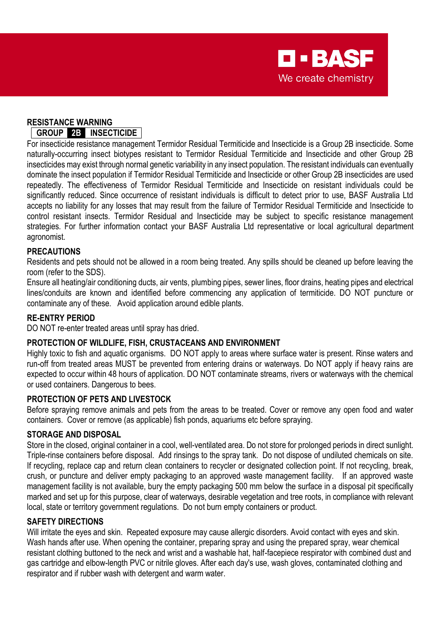

#### **RESISTANCE WARNING**

#### **GROUP 2B INSECTICIDE**

For insecticide resistance management Termidor Residual Termiticide and Insecticide is a Group 2B insecticide. Some naturally-occurring insect biotypes resistant to Termidor Residual Termiticide and Insecticide and other Group 2B insecticides may exist through normal genetic variability in any insect population. The resistant individuals can eventually dominate the insect population if Termidor Residual Termiticide and Insecticide or other Group 2B insecticides are used repeatedly. The effectiveness of Termidor Residual Termiticide and Insecticide on resistant individuals could be significantly reduced. Since occurrence of resistant individuals is difficult to detect prior to use, BASF Australia Ltd accepts no liability for any losses that may result from the failure of Termidor Residual Termiticide and Insecticide to control resistant insects. Termidor Residual and Insecticide may be subject to specific resistance management strategies. For further information contact your BASF Australia Ltd representative or local agricultural department agronomist.

#### **PRECAUTIONS**

Residents and pets should not be allowed in a room being treated. Any spills should be cleaned up before leaving the room (refer to the SDS).

Ensure all heating/air conditioning ducts, air vents, plumbing pipes, sewer lines, floor drains, heating pipes and electrical lines/conduits are known and identified before commencing any application of termiticide. DO NOT puncture or contaminate any of these. Avoid application around edible plants.

#### **RE-ENTRY PERIOD**

DO NOT re-enter treated areas until spray has dried.

#### **PROTECTION OF WILDLIFE, FISH, CRUSTACEANS AND ENVIRONMENT**

Highly toxic to fish and aquatic organisms. DO NOT apply to areas where surface water is present. Rinse waters and run-off from treated areas MUST be prevented from entering drains or waterways. Do NOT apply if heavy rains are expected to occur within 48 hours of application. DO NOT contaminate streams, rivers or waterways with the chemical or used containers. Dangerous to bees.

#### **PROTECTION OF PETS AND LIVESTOCK**

Before spraying remove animals and pets from the areas to be treated. Cover or remove any open food and water containers. Cover or remove (as applicable) fish ponds, aquariums etc before spraying.

#### **STORAGE AND DISPOSAL**

Store in the closed, original container in a cool, well-ventilated area. Do not store for prolonged periods in direct sunlight. Triple-rinse containers before disposal. Add rinsings to the spray tank. Do not dispose of undiluted chemicals on site. If recycling, replace cap and return clean containers to recycler or designated collection point. If not recycling, break, crush, or puncture and deliver empty packaging to an approved waste management facility. If an approved waste management facility is not available, bury the empty packaging 500 mm below the surface in a disposal pit specifically marked and set up for this purpose, clear of waterways, desirable vegetation and tree roots, in compliance with relevant local, state or territory government regulations. Do not burn empty containers or product.

#### **SAFETY DIRECTIONS**

Will irritate the eyes and skin. Repeated exposure may cause allergic disorders. Avoid contact with eyes and skin. Wash hands after use. When opening the container, preparing spray and using the prepared spray, wear chemical resistant clothing buttoned to the neck and wrist and a washable hat, half-facepiece respirator with combined dust and gas cartridge and elbow-length PVC or nitrile gloves. After each day's use, wash gloves, contaminated clothing and respirator and if rubber wash with detergent and warm water.